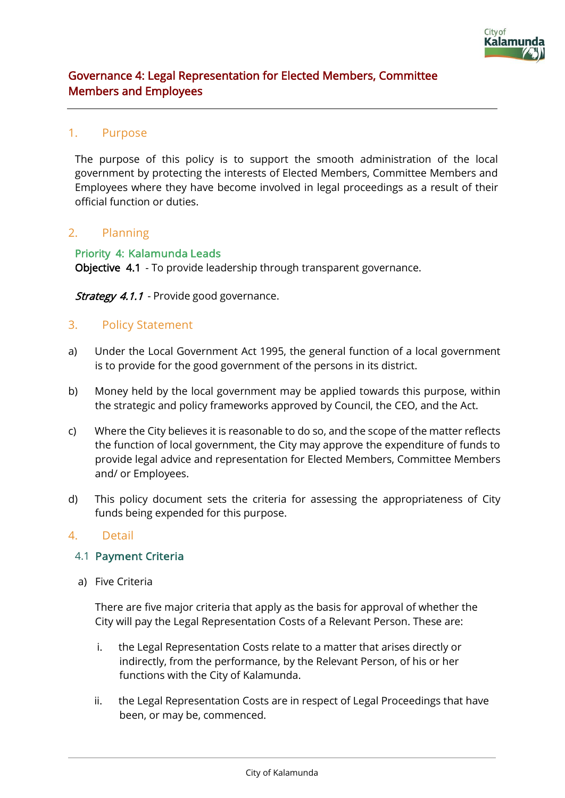

# Governance 4: Legal Representation for Elected Members, Committee Members and Employees

### 1. Purpose

The purpose of this policy is to support the smooth administration of the local government by protecting the interests of Elected Members, Committee Members and Employees where they have become involved in legal proceedings as a result of their official function or duties.

### 2. Planning

Priority 4: Kalamunda Leads Objective 4.1 - To provide leadership through transparent governance.

Strategy 4.1.1 - Provide good governance.

### 3. Policy Statement

- a) Under the Local Government Act 1995, the general function of a local government is to provide for the good government of the persons in its district.
- b) Money held by the local government may be applied towards this purpose, within the strategic and policy frameworks approved by Council, the CEO, and the Act.
- c) Where the City believes it is reasonable to do so, and the scope of the matter reflects the function of local government, the City may approve the expenditure of funds to provide legal advice and representation for Elected Members, Committee Members and/ or Employees.
- d) This policy document sets the criteria for assessing the appropriateness of City funds being expended for this purpose.

#### 4. Detail

#### 4.1 Payment Criteria

a) Five Criteria

There are five major criteria that apply as the basis for approval of whether the City will pay the Legal Representation Costs of a Relevant Person. These are:

- i. the Legal Representation Costs relate to a matter that arises directly or indirectly, from the performance, by the Relevant Person, of his or her functions with the City of Kalamunda.
- ii. the Legal Representation Costs are in respect of Legal Proceedings that have been, or may be, commenced.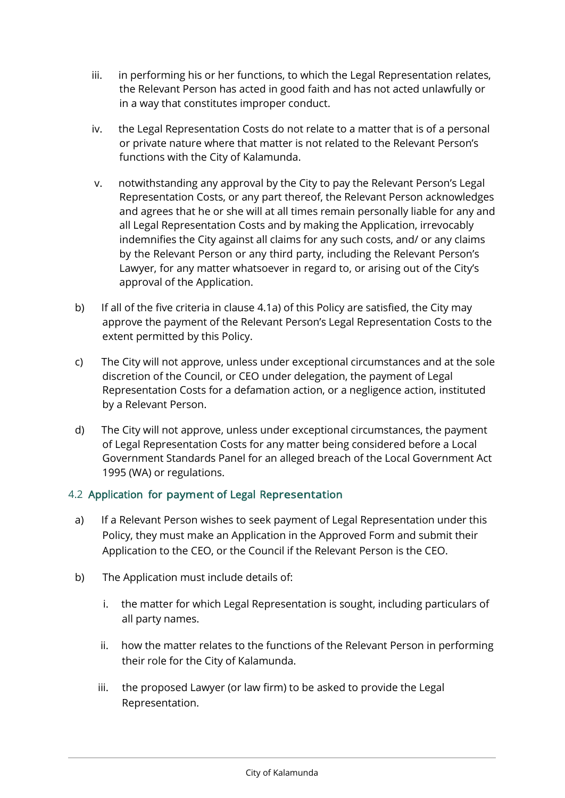- iii. in performing his or her functions, to which the Legal Representation relates, the Relevant Person has acted in good faith and has not acted unlawfully or in a way that constitutes improper conduct.
- iv. the Legal Representation Costs do not relate to a matter that is of a personal or private nature where that matter is not related to the Relevant Person's functions with the City of Kalamunda.
- v. notwithstanding any approval by the City to pay the Relevant Person's Legal Representation Costs, or any part thereof, the Relevant Person acknowledges and agrees that he or she will at all times remain personally liable for any and all Legal Representation Costs and by making the Application, irrevocably indemnifies the City against all claims for any such costs, and/ or any claims by the Relevant Person or any third party, including the Relevant Person's Lawyer, for any matter whatsoever in regard to, or arising out of the City's approval of the Application.
- b) If all of the five criteria in clause 4.1a) of this Policy are satisfied, the City may approve the payment of the Relevant Person's Legal Representation Costs to the extent permitted by this Policy.
- c) The City will not approve, unless under exceptional circumstances and at the sole discretion of the Council, or CEO under delegation, the payment of Legal Representation Costs for a defamation action, or a negligence action, instituted by a Relevant Person.
- d) The City will not approve, unless under exceptional circumstances, the payment of Legal Representation Costs for any matter being considered before a Local Government Standards Panel for an alleged breach of the Local Government Act 1995 (WA) or regulations.

# 4.2 Application for payment of Legal Representation

- a) If a Relevant Person wishes to seek payment of Legal Representation under this Policy, they must make an Application in the Approved Form and submit their Application to the CEO, or the Council if the Relevant Person is the CEO.
- b) The Application must include details of:
	- i. the matter for which Legal Representation is sought, including particulars of all party names.
	- ii. how the matter relates to the functions of the Relevant Person in performing their role for the City of Kalamunda.
	- iii. the proposed Lawyer (or law firm) to be asked to provide the Legal Representation.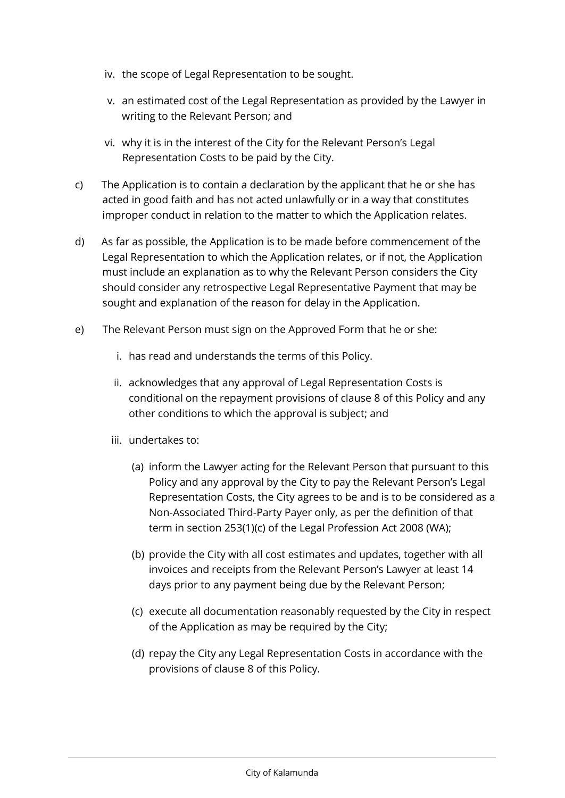- iv. the scope of Legal Representation to be sought.
- v. an estimated cost of the Legal Representation as provided by the Lawyer in writing to the Relevant Person; and
- vi. why it is in the interest of the City for the Relevant Person's Legal Representation Costs to be paid by the City.
- c) The Application is to contain a declaration by the applicant that he or she has acted in good faith and has not acted unlawfully or in a way that constitutes improper conduct in relation to the matter to which the Application relates.
- d) As far as possible, the Application is to be made before commencement of the Legal Representation to which the Application relates, or if not, the Application must include an explanation as to why the Relevant Person considers the City should consider any retrospective Legal Representative Payment that may be sought and explanation of the reason for delay in the Application.
- e) The Relevant Person must sign on the Approved Form that he or she:
	- i. has read and understands the terms of this Policy.
	- ii. acknowledges that any approval of Legal Representation Costs is conditional on the repayment provisions of clause 8 of this Policy and any other conditions to which the approval is subject; and
	- iii. undertakes to:
		- (a) inform the Lawyer acting for the Relevant Person that pursuant to this Policy and any approval by the City to pay the Relevant Person's Legal Representation Costs, the City agrees to be and is to be considered as a Non-Associated Third-Party Payer only, as per the definition of that term in section 253(1)(c) of the Legal Profession Act 2008 (WA);
		- (b) provide the City with all cost estimates and updates, together with all invoices and receipts from the Relevant Person's Lawyer at least 14 days prior to any payment being due by the Relevant Person;
		- (c) execute all documentation reasonably requested by the City in respect of the Application as may be required by the City;
		- (d) repay the City any Legal Representation Costs in accordance with the provisions of clause 8 of this Policy.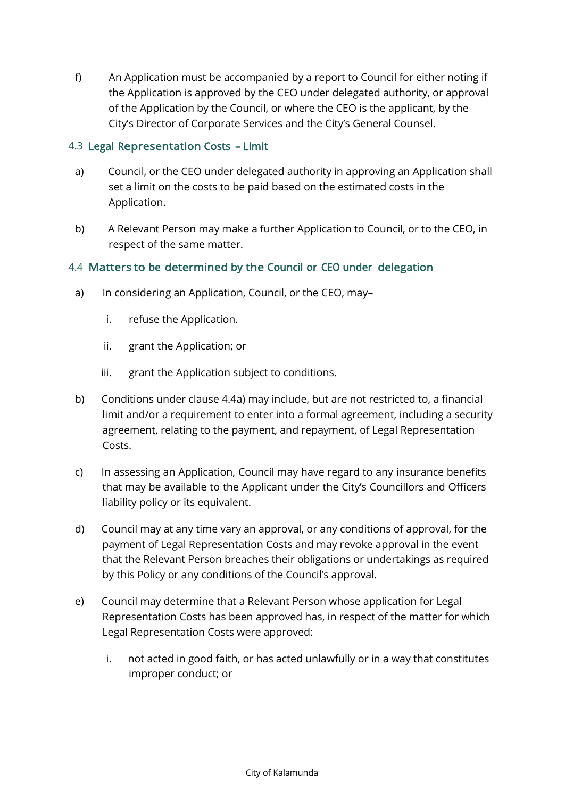f) An Application must be accompanied by a report to Council for either noting if the Application is approved by the CEO under delegated authority, or approval of the Application by the Council, or where the CEO is the applicant, by the City's Director of Corporate Services and the City's General Counsel.

## 4.3 Legal Representation Costs – Limit

- a) Council, or the CEO under delegated authority in approving an Application shall set a limit on the costs to be paid based on the estimated costs in the Application.
- b) A Relevant Person may make a further Application to Council, or to the CEO, in respect of the same matter.

## 4.4 Matters to be determined by the Council or CEO under delegation

- a) In considering an Application, Council, or the CEO, may–
	- i. refuse the Application.
	- ii. grant the Application; or
	- iii. grant the Application subject to conditions.
- b) Conditions under clause 4.4a) may include, but are not restricted to, a financial limit and/or a requirement to enter into a formal agreement, including a security agreement, relating to the payment, and repayment, of Legal Representation Costs.
- c) In assessing an Application, Council may have regard to any insurance benefits that may be available to the Applicant under the City's Councillors and Officers liability policy or its equivalent.
- d) Council may at any time vary an approval, or any conditions of approval, for the payment of Legal Representation Costs and may revoke approval in the event that the Relevant Person breaches their obligations or undertakings as required by this Policy or any conditions of the Council's approval.
- e) Council may determine that a Relevant Person whose application for Legal Representation Costs has been approved has, in respect of the matter for which Legal Representation Costs were approved:
	- i. not acted in good faith, or has acted unlawfully or in a way that constitutes improper conduct; or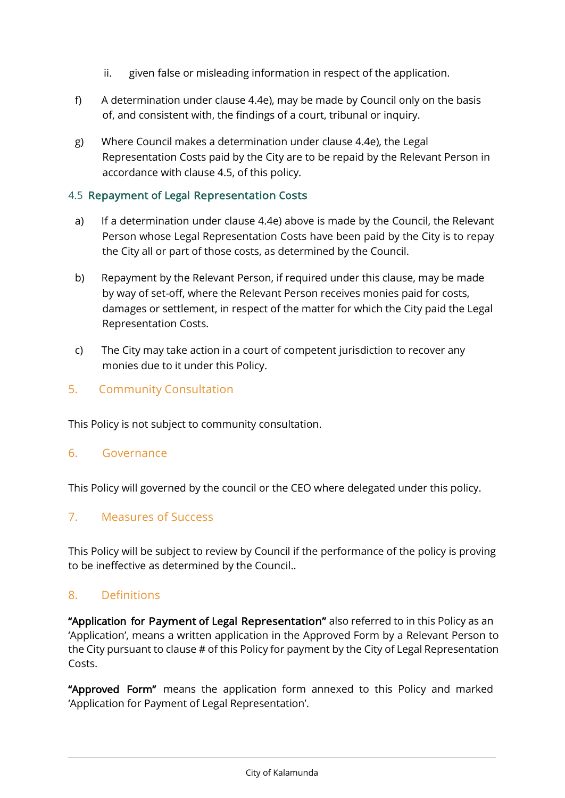- ii. given false or misleading information in respect of the application.
- f) A determination under clause 4.4e), may be made by Council only on the basis of, and consistent with, the findings of a court, tribunal or inquiry.
- g) Where Council makes a determination under clause 4.4e), the Legal Representation Costs paid by the City are to be repaid by the Relevant Person in accordance with clause 4.5, of this policy.

## 4.5 Repayment of Legal Representation Costs

- a) If a determination under clause 4.4e) above is made by the Council, the Relevant Person whose Legal Representation Costs have been paid by the City is to repay the City all or part of those costs, as determined by the Council.
- b) Repayment by the Relevant Person, if required under this clause, may be made by way of set-off, where the Relevant Person receives monies paid for costs, damages or settlement, in respect of the matter for which the City paid the Legal Representation Costs.
- c) The City may take action in a court of competent jurisdiction to recover any monies due to it under this Policy.

# 5. Community Consultation

This Policy is not subject to community consultation.

### 6. Governance

This Policy will governed by the council or the CEO where delegated under this policy.

## 7. Measures of Success

This Policy will be subject to review by Council if the performance of the policy is proving to be ineffective as determined by the Council..

# 8. Definitions

"Application for Payment of Legal Representation" also referred to in this Policy as an 'Application', means a written application in the Approved Form by a Relevant Person to the City pursuant to clause # of this Policy for payment by the City of Legal Representation Costs.

"Approved Form" means the application form annexed to this Policy and marked 'Application for Payment of Legal Representation'.